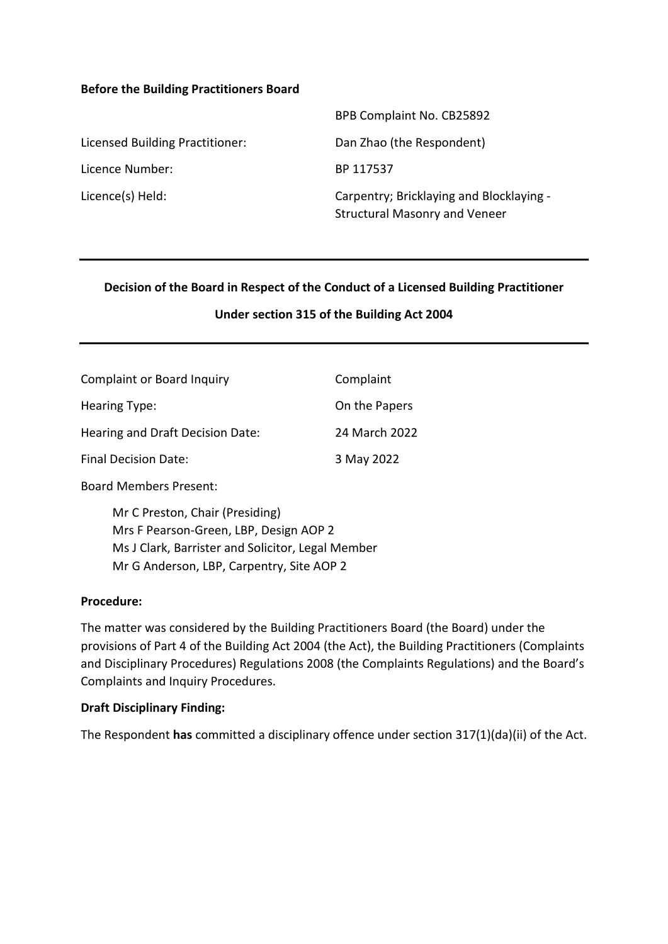#### **Before the Building Practitioners Board**

|                                 | BPB Complaint No. CB25892                                                        |
|---------------------------------|----------------------------------------------------------------------------------|
| Licensed Building Practitioner: | Dan Zhao (the Respondent)                                                        |
| Licence Number:                 | BP 117537                                                                        |
| Licence(s) Held:                | Carpentry; Bricklaying and Blocklaying -<br><b>Structural Masonry and Veneer</b> |

#### **Decision of the Board in Respect of the Conduct of a Licensed Building Practitioner**

#### **Under section 315 of the Building Act 2004**

| <b>Complaint or Board Inquiry</b> | Complaint     |
|-----------------------------------|---------------|
| Hearing Type:                     | On the Papers |
| Hearing and Draft Decision Date:  | 24 March 2022 |
| Final Decision Date:              | 3 May 2022    |
|                                   |               |

Board Members Present:

Mr C Preston, Chair (Presiding) Mrs F Pearson-Green, LBP, Design AOP 2 Ms J Clark, Barrister and Solicitor, Legal Member Mr G Anderson, LBP, Carpentry, Site AOP 2

#### **Procedure:**

The matter was considered by the Building Practitioners Board (the Board) under the provisions of Part 4 of the Building Act 2004 (the Act), the Building Practitioners (Complaints and Disciplinary Procedures) Regulations 2008 (the Complaints Regulations) and the Board's Complaints and Inquiry Procedures.

#### **Draft Disciplinary Finding:**

The Respondent **has** committed a disciplinary offence under section 317(1)(da)(ii) of the Act.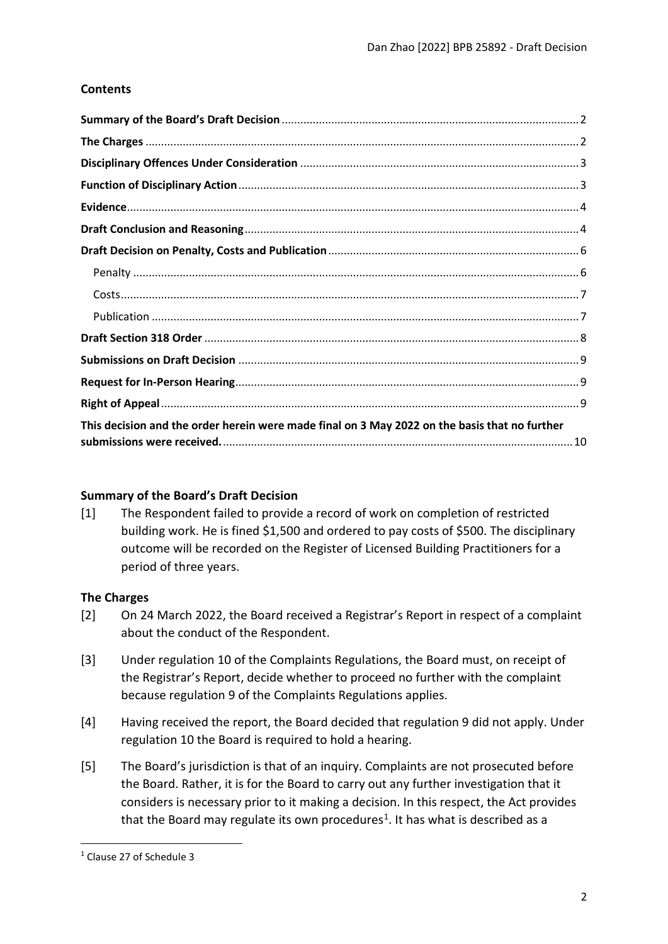# **Contents**

| This decision and the order herein were made final on 3 May 2022 on the basis that no further |  |
|-----------------------------------------------------------------------------------------------|--|

## <span id="page-1-0"></span>**Summary of the Board's Draft Decision**

[1] The Respondent failed to provide a record of work on completion of restricted building work. He is fined \$1,500 and ordered to pay costs of \$500. The disciplinary outcome will be recorded on the Register of Licensed Building Practitioners for a period of three years.

## <span id="page-1-1"></span>**The Charges**

- [2] On 24 March 2022, the Board received a Registrar's Report in respect of a complaint about the conduct of the Respondent.
- [3] Under regulation 10 of the Complaints Regulations, the Board must, on receipt of the Registrar's Report, decide whether to proceed no further with the complaint because regulation 9 of the Complaints Regulations applies.
- [4] Having received the report, the Board decided that regulation 9 did not apply. Under regulation 10 the Board is required to hold a hearing.
- [5] The Board's jurisdiction is that of an inquiry. Complaints are not prosecuted before the Board. Rather, it is for the Board to carry out any further investigation that it considers is necessary prior to it making a decision. In this respect, the Act provides that the Board may regulate its own procedures<sup>[1](#page-1-2)</sup>. It has what is described as a

<span id="page-1-2"></span><sup>1</sup> Clause 27 of Schedule 3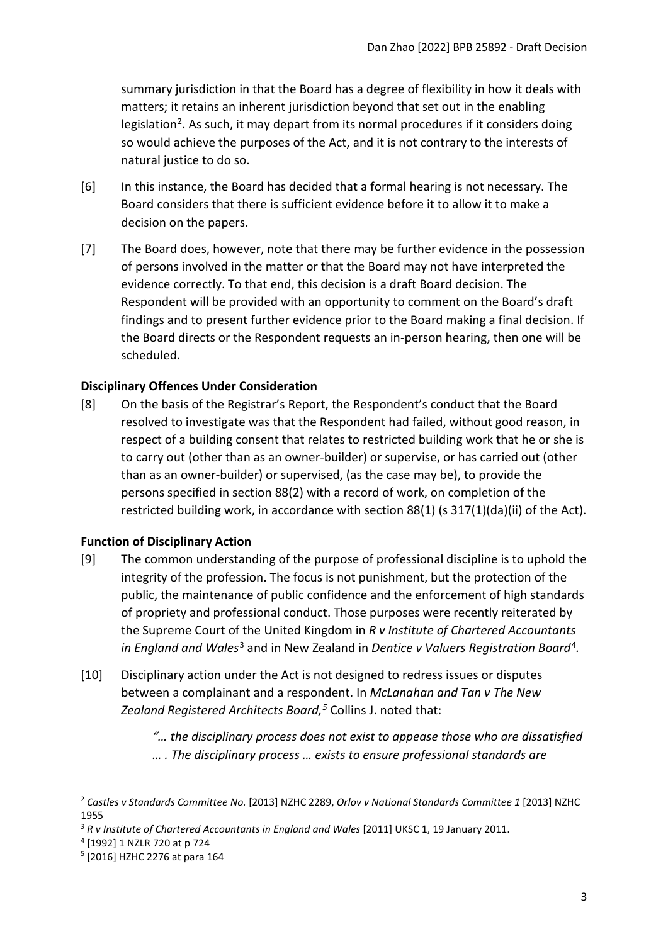summary jurisdiction in that the Board has a degree of flexibility in how it deals with matters; it retains an inherent jurisdiction beyond that set out in the enabling legislation<sup>[2](#page-2-2)</sup>. As such, it may depart from its normal procedures if it considers doing so would achieve the purposes of the Act, and it is not contrary to the interests of natural justice to do so.

- [6] In this instance, the Board has decided that a formal hearing is not necessary. The Board considers that there is sufficient evidence before it to allow it to make a decision on the papers.
- [7] The Board does, however, note that there may be further evidence in the possession of persons involved in the matter or that the Board may not have interpreted the evidence correctly. To that end, this decision is a draft Board decision. The Respondent will be provided with an opportunity to comment on the Board's draft findings and to present further evidence prior to the Board making a final decision. If the Board directs or the Respondent requests an in-person hearing, then one will be scheduled.

### <span id="page-2-0"></span>**Disciplinary Offences Under Consideration**

[8] On the basis of the Registrar's Report, the Respondent's conduct that the Board resolved to investigate was that the Respondent had failed, without good reason, in respect of a building consent that relates to restricted building work that he or she is to carry out (other than as an owner-builder) or supervise, or has carried out (other than as an owner-builder) or supervised, (as the case may be), to provide the persons specified in section 88(2) with a record of work, on completion of the restricted building work, in accordance with section 88(1) (s 317(1)(da)(ii) of the Act).

#### <span id="page-2-1"></span>**Function of Disciplinary Action**

- [9] The common understanding of the purpose of professional discipline is to uphold the integrity of the profession. The focus is not punishment, but the protection of the public, the maintenance of public confidence and the enforcement of high standards of propriety and professional conduct. Those purposes were recently reiterated by the Supreme Court of the United Kingdom in *R v Institute of Chartered Accountants in England and Wales*[3](#page-2-3) and in New Zealand in *Dentice v Valuers Registration Board*[4](#page-2-4)*.*
- [10] Disciplinary action under the Act is not designed to redress issues or disputes between a complainant and a respondent. In *McLanahan and Tan v The New Zealand Registered Architects Board, [5](#page-2-5)* Collins J. noted that:
	- *"… the disciplinary process does not exist to appease those who are dissatisfied … . The disciplinary process … exists to ensure professional standards are*

<span id="page-2-2"></span><sup>2</sup> *Castles v Standards Committee No.* [2013] NZHC 2289, *Orlov v National Standards Committee 1* [2013] NZHC 1955

<span id="page-2-3"></span><sup>&</sup>lt;sup>3</sup> R v Institute of Chartered Accountants in England and Wales [2011] UKSC 1, 19 January 2011.

<span id="page-2-4"></span><sup>4</sup> [1992] 1 NZLR 720 at p 724

<span id="page-2-5"></span><sup>5</sup> [2016] HZHC 2276 at para 164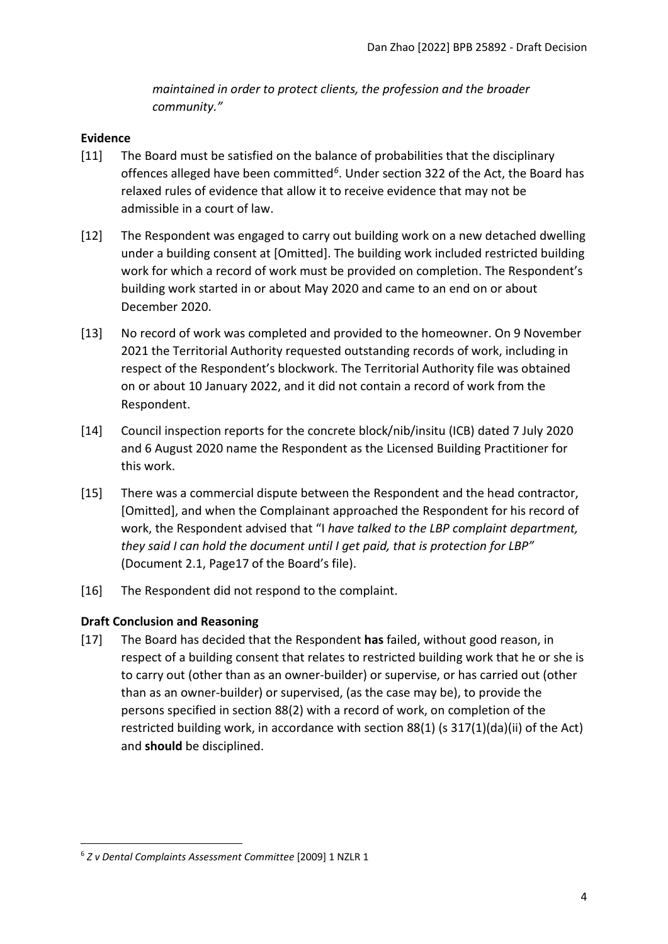*maintained in order to protect clients, the profession and the broader community."*

### <span id="page-3-0"></span>**Evidence**

- [11] The Board must be satisfied on the balance of probabilities that the disciplinary offences alleged have been committed*[6](#page-3-2)*. Under section 322 of the Act, the Board has relaxed rules of evidence that allow it to receive evidence that may not be admissible in a court of law.
- [12] The Respondent was engaged to carry out building work on a new detached dwelling under a building consent at [Omitted]. The building work included restricted building work for which a record of work must be provided on completion. The Respondent's building work started in or about May 2020 and came to an end on or about December 2020.
- [13] No record of work was completed and provided to the homeowner. On 9 November 2021 the Territorial Authority requested outstanding records of work, including in respect of the Respondent's blockwork. The Territorial Authority file was obtained on or about 10 January 2022, and it did not contain a record of work from the Respondent.
- [14] Council inspection reports for the concrete block/nib/insitu (ICB) dated 7 July 2020 and 6 August 2020 name the Respondent as the Licensed Building Practitioner for this work.
- [15] There was a commercial dispute between the Respondent and the head contractor, [Omitted], and when the Complainant approached the Respondent for his record of work, the Respondent advised that "I *have talked to the LBP complaint department, they said I can hold the document until I get paid, that is protection for LBP"* (Document 2.1, Page17 of the Board's file).
- [16] The Respondent did not respond to the complaint.

## <span id="page-3-1"></span>**Draft Conclusion and Reasoning**

[17] The Board has decided that the Respondent **has** failed, without good reason, in respect of a building consent that relates to restricted building work that he or she is to carry out (other than as an owner-builder) or supervise, or has carried out (other than as an owner-builder) or supervised, (as the case may be), to provide the persons specified in section 88(2) with a record of work, on completion of the restricted building work, in accordance with section 88(1) (s 317(1)(da)(ii) of the Act) and **should** be disciplined.

<span id="page-3-2"></span><sup>6</sup> *Z v Dental Complaints Assessment Committee* [2009] 1 NZLR 1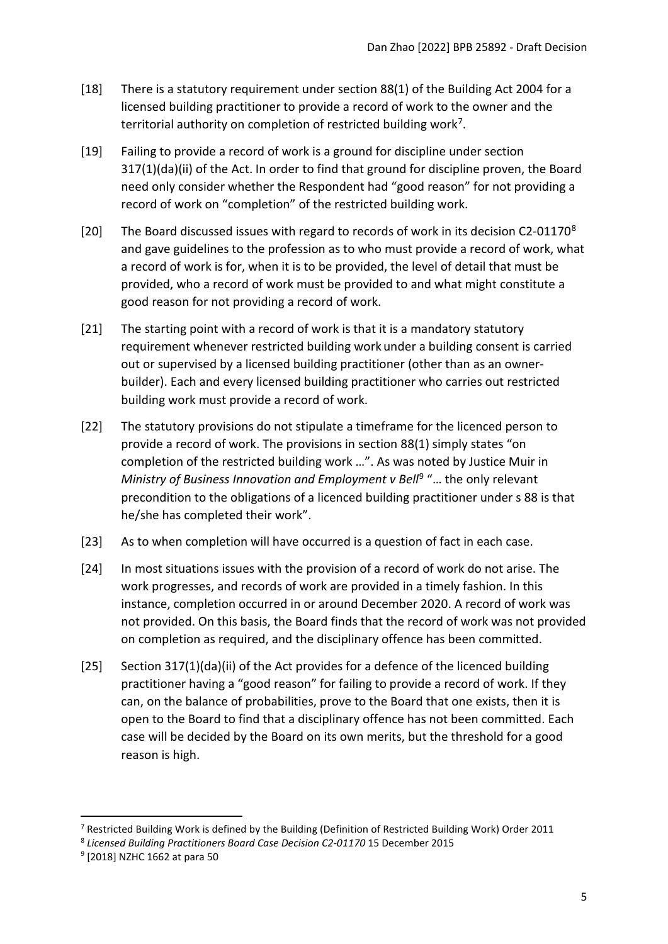- [18] There is a statutory requirement under section 88(1) of the Building Act 2004 for a licensed building practitioner to provide a record of work to the owner and the territorial authority on completion of restricted building work<sup>[7](#page-4-0)</sup>.
- [19] Failing to provide a record of work is a ground for discipline under section 317(1)(da)(ii) of the Act. In order to find that ground for discipline proven, the Board need only consider whether the Respondent had "good reason" for not providing a record of work on "completion" of the restricted building work.
- [20] The Board discussed issues with regard to records of work in its decision C2-01170<sup>[8](#page-4-1)</sup> and gave guidelines to the profession as to who must provide a record of work, what a record of work is for, when it is to be provided, the level of detail that must be provided, who a record of work must be provided to and what might constitute a good reason for not providing a record of work.
- [21] The starting point with a record of work is that it is a mandatory statutory requirement whenever restricted building work under a building consent is carried out or supervised by a licensed building practitioner (other than as an ownerbuilder). Each and every licensed building practitioner who carries out restricted building work must provide a record of work.
- [22] The statutory provisions do not stipulate a timeframe for the licenced person to provide a record of work. The provisions in section 88(1) simply states "on completion of the restricted building work …". As was noted by Justice Muir in *Ministry of Business Innovation and Employment v Bell<sup>[9](#page-4-2)</sup> "... the only relevant* precondition to the obligations of a licenced building practitioner under s 88 is that he/she has completed their work".
- [23] As to when completion will have occurred is a question of fact in each case.
- [24] In most situations issues with the provision of a record of work do not arise. The work progresses, and records of work are provided in a timely fashion. In this instance, completion occurred in or around December 2020. A record of work was not provided. On this basis, the Board finds that the record of work was not provided on completion as required, and the disciplinary offence has been committed.
- [25] Section 317(1)(da)(ii) of the Act provides for a defence of the licenced building practitioner having a "good reason" for failing to provide a record of work. If they can, on the balance of probabilities, prove to the Board that one exists, then it is open to the Board to find that a disciplinary offence has not been committed. Each case will be decided by the Board on its own merits, but the threshold for a good reason is high.

<span id="page-4-0"></span><sup>&</sup>lt;sup>7</sup> Restricted Building Work is defined by the Building (Definition of Restricted Building Work) Order 2011

<span id="page-4-1"></span><sup>8</sup> *Licensed Building Practitioners Board Case Decision C2-01170* 15 December 2015

<span id="page-4-2"></span><sup>9</sup> [2018] NZHC 1662 at para 50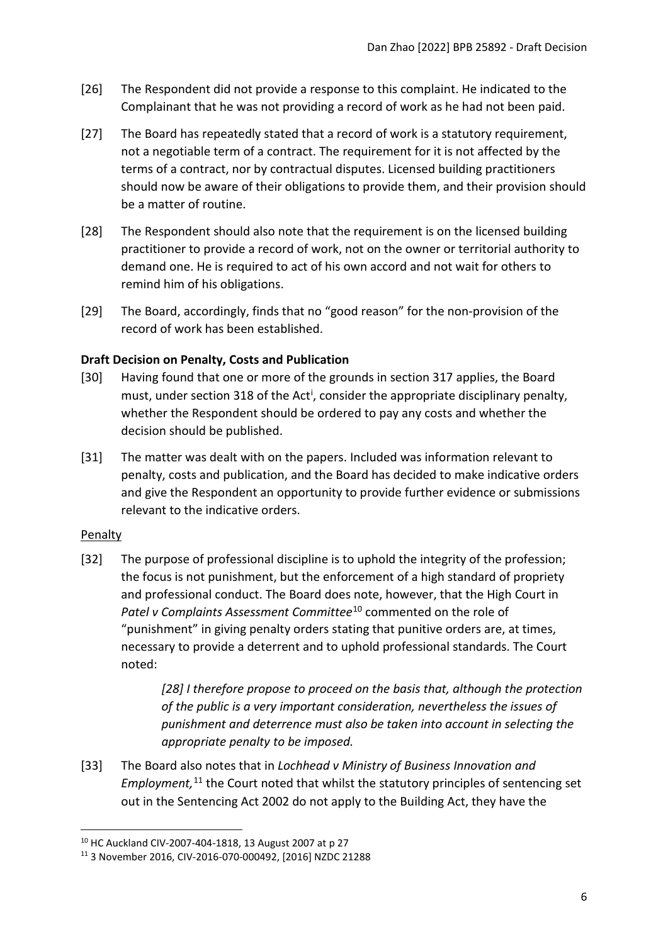- [26] The Respondent did not provide a response to this complaint. He indicated to the Complainant that he was not providing a record of work as he had not been paid.
- [27] The Board has repeatedly stated that a record of work is a statutory requirement, not a negotiable term of a contract. The requirement for it is not affected by the terms of a contract, nor by contractual disputes. Licensed building practitioners should now be aware of their obligations to provide them, and their provision should be a matter of routine.
- [28] The Respondent should also note that the requirement is on the licensed building practitioner to provide a record of work, not on the owner or territorial authority to demand one. He is required to act of his own accord and not wait for others to remind him of his obligations.
- [29] The Board, accordingly, finds that no "good reason" for the non-provision of the record of work has been established.

## <span id="page-5-0"></span>**Draft Decision on Penalty, Costs and Publication**

- [30] Having found that one or more of the grounds in section 317 applies, the Board must, under sect[i](#page-9-1)on 318 of the Act<sup>i</sup>, consider the appropriate disciplinary penalty, whether the Respondent should be ordered to pay any costs and whether the decision should be published.
- [31] The matter was dealt with on the papers. Included was information relevant to penalty, costs and publication, and the Board has decided to make indicative orders and give the Respondent an opportunity to provide further evidence or submissions relevant to the indicative orders.

## <span id="page-5-1"></span>Penalty

[32] The purpose of professional discipline is to uphold the integrity of the profession; the focus is not punishment, but the enforcement of a high standard of propriety and professional conduct. The Board does note, however, that the High Court in *Patel v Complaints Assessment Committee*[10](#page-5-2) commented on the role of "punishment" in giving penalty orders stating that punitive orders are, at times, necessary to provide a deterrent and to uphold professional standards. The Court noted:

> *[28] I therefore propose to proceed on the basis that, although the protection of the public is a very important consideration, nevertheless the issues of punishment and deterrence must also be taken into account in selecting the appropriate penalty to be imposed.*

[33] The Board also notes that in *Lochhead v Ministry of Business Innovation and*  Employment,<sup>[11](#page-5-3)</sup> the Court noted that whilst the statutory principles of sentencing set out in the Sentencing Act 2002 do not apply to the Building Act, they have the

<span id="page-5-2"></span><sup>10</sup> HC Auckland CIV-2007-404-1818, 13 August 2007 at p 27

<span id="page-5-3"></span><sup>11</sup> 3 November 2016, CIV-2016-070-000492, [2016] NZDC 21288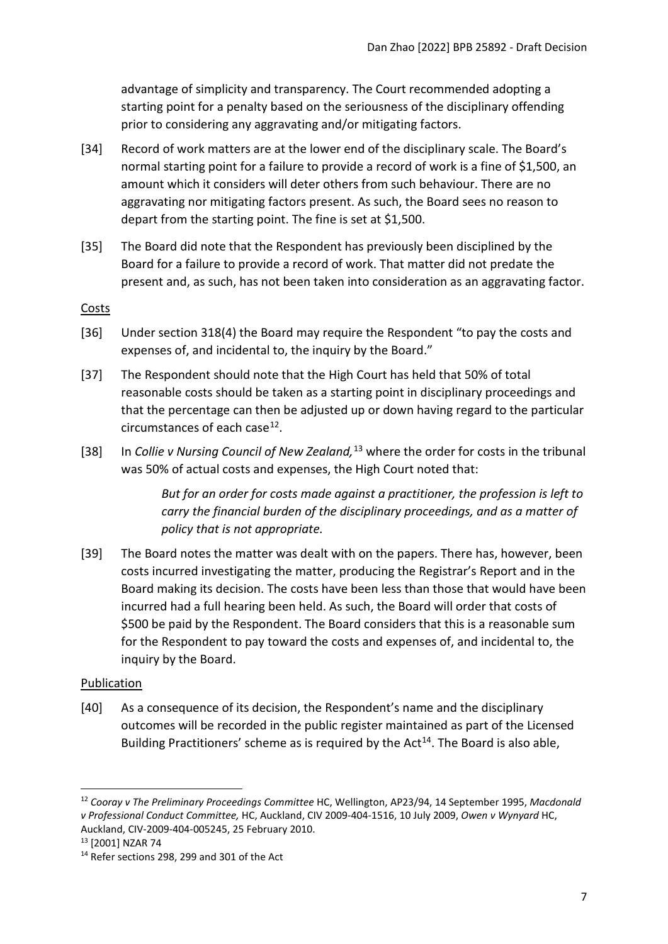advantage of simplicity and transparency. The Court recommended adopting a starting point for a penalty based on the seriousness of the disciplinary offending prior to considering any aggravating and/or mitigating factors.

- [34] Record of work matters are at the lower end of the disciplinary scale. The Board's normal starting point for a failure to provide a record of work is a fine of \$1,500, an amount which it considers will deter others from such behaviour. There are no aggravating nor mitigating factors present. As such, the Board sees no reason to depart from the starting point. The fine is set at \$1,500.
- [35] The Board did note that the Respondent has previously been disciplined by the Board for a failure to provide a record of work. That matter did not predate the present and, as such, has not been taken into consideration as an aggravating factor.

#### <span id="page-6-0"></span>Costs

- [36] Under section 318(4) the Board may require the Respondent "to pay the costs and expenses of, and incidental to, the inquiry by the Board."
- [37] The Respondent should note that the High Court has held that 50% of total reasonable costs should be taken as a starting point in disciplinary proceedings and that the percentage can then be adjusted up or down having regard to the particular circumstances of each case $^{12}$ .
- [38] In *Collie v Nursing Council of New Zealand,* [13](#page-6-3) where the order for costs in the tribunal was 50% of actual costs and expenses, the High Court noted that:

*But for an order for costs made against a practitioner, the profession is left to carry the financial burden of the disciplinary proceedings, and as a matter of policy that is not appropriate.*

[39] The Board notes the matter was dealt with on the papers. There has, however, been costs incurred investigating the matter, producing the Registrar's Report and in the Board making its decision. The costs have been less than those that would have been incurred had a full hearing been held. As such, the Board will order that costs of \$500 be paid by the Respondent. The Board considers that this is a reasonable sum for the Respondent to pay toward the costs and expenses of, and incidental to, the inquiry by the Board.

#### <span id="page-6-1"></span>Publication

[40] As a consequence of its decision, the Respondent's name and the disciplinary outcomes will be recorded in the public register maintained as part of the Licensed Building Practitioners' scheme as is required by the  $Act^{14}$  $Act^{14}$  $Act^{14}$ . The Board is also able,

<span id="page-6-2"></span><sup>12</sup> *Cooray v The Preliminary Proceedings Committee* HC, Wellington, AP23/94, 14 September 1995, *Macdonald v Professional Conduct Committee,* HC, Auckland, CIV 2009-404-1516, 10 July 2009, *Owen v Wynyard* HC, Auckland, CIV-2009-404-005245, 25 February 2010. 13 [2001] NZAR 74

<span id="page-6-4"></span><span id="page-6-3"></span><sup>&</sup>lt;sup>14</sup> Refer sections 298, 299 and 301 of the Act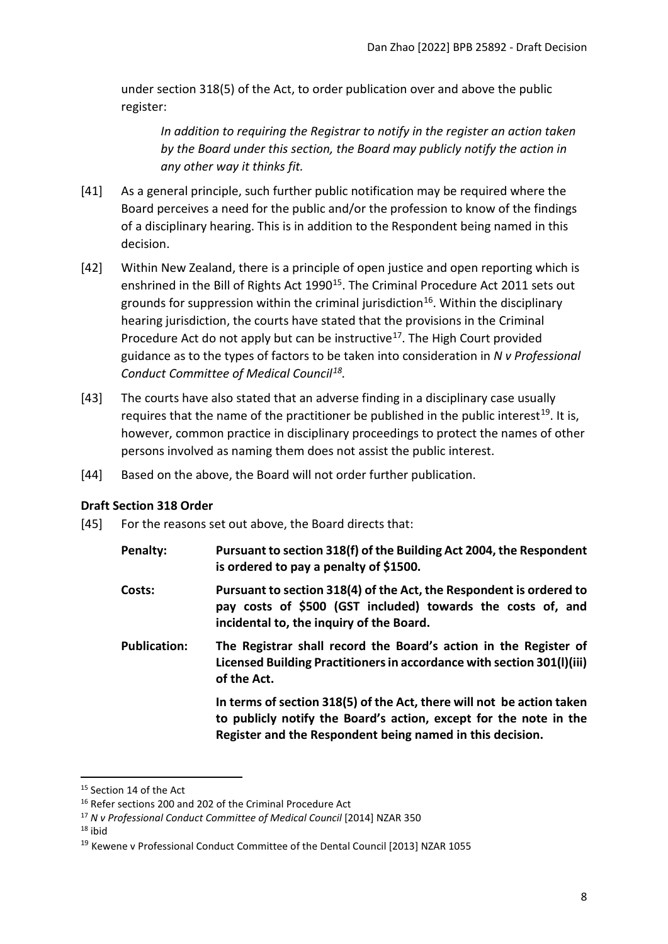under section 318(5) of the Act, to order publication over and above the public register:

*In addition to requiring the Registrar to notify in the register an action taken by the Board under this section, the Board may publicly notify the action in any other way it thinks fit.*

- [41] As a general principle, such further public notification may be required where the Board perceives a need for the public and/or the profession to know of the findings of a disciplinary hearing. This is in addition to the Respondent being named in this decision.
- [42] Within New Zealand, there is a principle of open justice and open reporting which is enshrined in the Bill of Rights Act 1990<sup>15</sup>. The Criminal Procedure Act 2011 sets out grounds for suppression within the criminal jurisdiction<sup>16</sup>. Within the disciplinary hearing jurisdiction, the courts have stated that the provisions in the Criminal Procedure Act do not apply but can be instructive<sup>[17](#page-7-3)</sup>. The High Court provided guidance as to the types of factors to be taken into consideration in *N v Professional Conduct Committee of Medical Council[18](#page-7-4).*
- [43] The courts have also stated that an adverse finding in a disciplinary case usually requires that the name of the practitioner be published in the public interest<sup>[19](#page-7-5)</sup>. It is, however, common practice in disciplinary proceedings to protect the names of other persons involved as naming them does not assist the public interest.
- [44] Based on the above, the Board will not order further publication.

## <span id="page-7-0"></span>**Draft Section 318 Order**

- [45] For the reasons set out above, the Board directs that:
	- **Penalty: Pursuant to section 318(f) of the Building Act 2004, the Respondent is ordered to pay a penalty of \$1500.**
	- **Costs: Pursuant to section 318(4) of the Act, the Respondent is ordered to pay costs of \$500 (GST included) towards the costs of, and incidental to, the inquiry of the Board.**
	- **Publication: The Registrar shall record the Board's action in the Register of Licensed Building Practitioners in accordance with section 301(l)(iii) of the Act.**

**In terms of section 318(5) of the Act, there will not be action taken to publicly notify the Board's action, except for the note in the Register and the Respondent being named in this decision.**

<span id="page-7-4"></span> $18$  ibid

<span id="page-7-1"></span><sup>&</sup>lt;sup>15</sup> Section 14 of the Act

<span id="page-7-2"></span><sup>&</sup>lt;sup>16</sup> Refer sections 200 and 202 of the Criminal Procedure Act

<span id="page-7-3"></span><sup>17</sup> *N v Professional Conduct Committee of Medical Council* [2014] NZAR 350

<span id="page-7-5"></span><sup>19</sup> Kewene v Professional Conduct Committee of the Dental Council [2013] NZAR 1055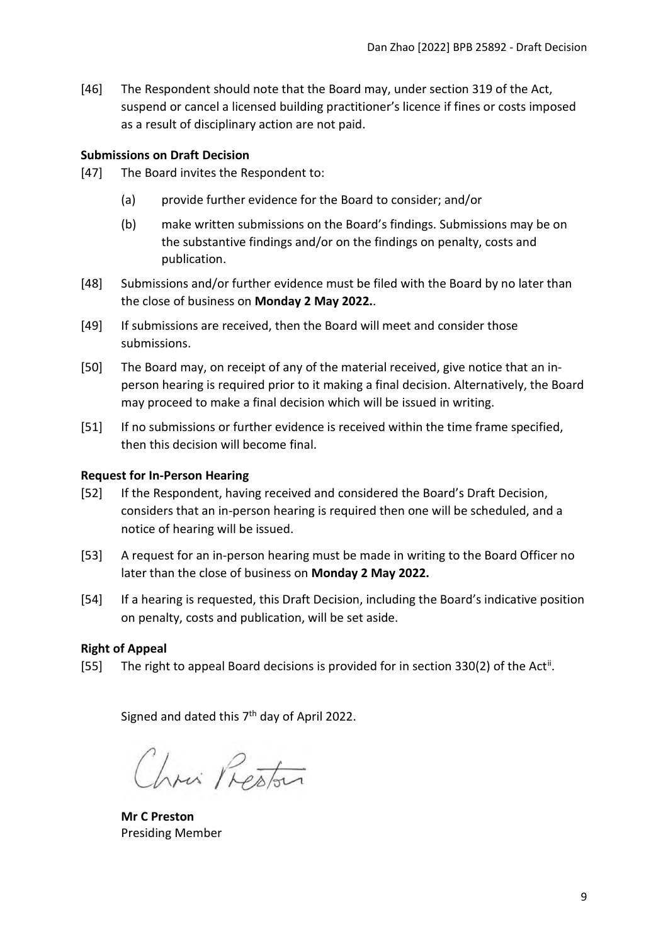[46] The Respondent should note that the Board may, under section 319 of the Act, suspend or cancel a licensed building practitioner's licence if fines or costs imposed as a result of disciplinary action are not paid.

### <span id="page-8-0"></span>**Submissions on Draft Decision**

- [47] The Board invites the Respondent to:
	- (a) provide further evidence for the Board to consider; and/or
	- (b) make written submissions on the Board's findings. Submissions may be on the substantive findings and/or on the findings on penalty, costs and publication.
- [48] Submissions and/or further evidence must be filed with the Board by no later than the close of business on **Monday 2 May 2022.**.
- [49] If submissions are received, then the Board will meet and consider those submissions.
- [50] The Board may, on receipt of any of the material received, give notice that an inperson hearing is required prior to it making a final decision. Alternatively, the Board may proceed to make a final decision which will be issued in writing.
- [51] If no submissions or further evidence is received within the time frame specified, then this decision will become final.

### <span id="page-8-1"></span>**Request for In-Person Hearing**

- [52] If the Respondent, having received and considered the Board's Draft Decision, considers that an in-person hearing is required then one will be scheduled, and a notice of hearing will be issued.
- [53] A request for an in-person hearing must be made in writing to the Board Officer no later than the close of business on **Monday 2 May 2022.**
- [54] If a hearing is requested, this Draft Decision, including the Board's indicative position on penalty, costs and publication, will be set aside.

## <span id="page-8-2"></span>**Right of Appeal**

[55] The right to appeal Board decisions is provided for in section 330(2) of the Act<sup>[ii](#page-9-2)</sup>.

Signed and dated this  $7<sup>th</sup>$  day of April 2022.

Chris Reptor

**Mr C Preston** Presiding Member